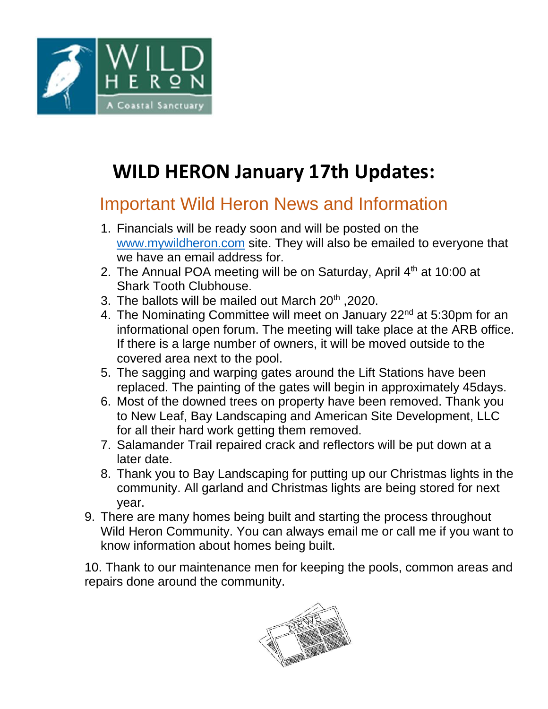

# **WILD HERON January 17th Updates:**

### Important Wild Heron News and Information

- 1. Financials will be ready soon and will be posted on the [www.mywildheron.com](http://www.mywildheron.com/) site. They will also be emailed to everyone that we have an email address for.
- 2. The Annual POA meeting will be on Saturday, April  $4<sup>th</sup>$  at 10:00 at Shark Tooth Clubhouse.
- 3. The ballots will be mailed out March 20<sup>th</sup> , 2020.
- 4. The Nominating Committee will meet on January 22<sup>nd</sup> at 5:30pm for an informational open forum. The meeting will take place at the ARB office. If there is a large number of owners, it will be moved outside to the covered area next to the pool.
- 5. The sagging and warping gates around the Lift Stations have been replaced. The painting of the gates will begin in approximately 45days.
- 6. Most of the downed trees on property have been removed. Thank you to New Leaf, Bay Landscaping and American Site Development, LLC for all their hard work getting them removed.
- 7. Salamander Trail repaired crack and reflectors will be put down at a later date.
- 8. Thank you to Bay Landscaping for putting up our Christmas lights in the community. All garland and Christmas lights are being stored for next year.
- 9. There are many homes being built and starting the process throughout Wild Heron Community. You can always email me or call me if you want to know information about homes being built.

10. Thank to our maintenance men for keeping the pools, common areas and repairs done around the community.

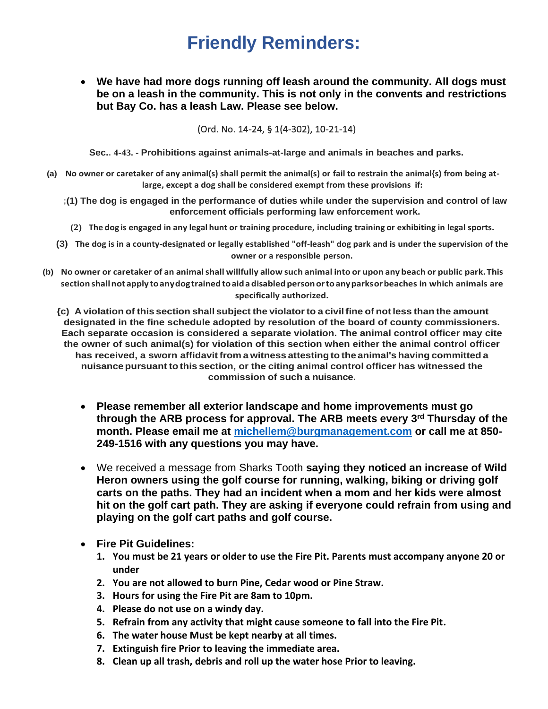### **Friendly Reminders:**

• **We have had more dogs running off leash around the community. All dogs must be on a leash in the community. This is not only in the convents and restrictions but Bay Co. has a leash Law. Please see below.** 

(Ord. No. 14-24, § 1(4-302), 10-21-14)

**Sec.. 4-43. - Prohibitions against animals-at-large and animals in beaches and parks.**

- **(a) No owner or caretaker of any animal(s) shall permit the animal(s) or fail to restrain the animal{s) from being atlarge, except a dog shall be considered exempt from these provisions if:**
	- **;(1) The dog is engaged in the performance of duties while under the supervision and control of law enforcement officials performing law enforcement work.**
		- (2) The dog is engaged in any legal hunt or training procedure, including training or exhibiting in legal sports.
	- **(3) The dog is in a county-designated or legally established "off-leash" dog park and is under the supervision of the owner or a responsible person.**
- (b) No owner or caretaker of an animal shall willfully allow such animal into or upon any beach or public park. This **section shallnotapplytoanydogtrainedtoaidadisabledpersonortoanyparksorbeaches in which animals are specifically authorized.**
	- {c) A violation of this section shall subject the violator to a civil fine of not less than the amount **designated in the fine schedule adopted by resolution of the board of county commissioners. Each separate occasion is considered a separate violation. The animal control officer may cite the owner of such animal(s) for violation of this section when either the animal control officer has received, a sworn affidavit from a witness attestingto the animal's having committed a nuisancepursuant tothis section, or the citing animal control officer has witnessed the commission of such a nuisance.**
		- **Please remember all exterior landscape and home improvements must go through the ARB process for approval. The ARB meets every 3rd Thursday of the month. Please email me at [michellem@burgmanagement.com](mailto:michellem@burgmanagement.com) or call me at 850- 249-1516 with any questions you may have.**
		- We received a message from Sharks Tooth **saying they noticed an increase of Wild Heron owners using the golf course for running, walking, biking or driving golf carts on the paths. They had an incident when a mom and her kids were almost hit on the golf cart path. They are asking if everyone could refrain from using and playing on the golf cart paths and golf course.**
		- **Fire Pit Guidelines:** 
			- **1. You must be 21 years or older to use the Fire Pit. Parents must accompany anyone 20 or under**
			- **2. You are not allowed to burn Pine, Cedar wood or Pine Straw.**
			- **3. Hours for using the Fire Pit are 8am to 10pm.**
			- **4. Please do not use on a windy day.**
			- **5. Refrain from any activity that might cause someone to fall into the Fire Pit.**
			- **6. The water house Must be kept nearby at all times.**
			- **7. Extinguish fire Prior to leaving the immediate area.**
			- **8. Clean up all trash, debris and roll up the water hose Prior to leaving.**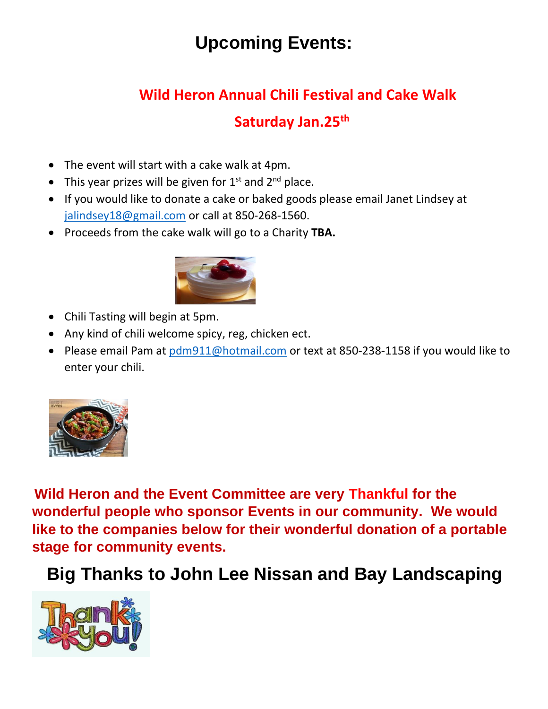## **Upcoming Events:**

# **Wild Heron Annual Chili Festival and Cake Walk**

#### **Saturday Jan.25th**

- The event will start with a cake walk at 4pm.
- This year prizes will be given for  $1<sup>st</sup>$  and  $2<sup>nd</sup>$  place.
- If you would like to donate a cake or baked goods please email Janet Lindsey at [jalindsey18@gmail.com](mailto:jalindsey18@gmail.com) or call at 850-268-1560.
- Proceeds from the cake walk will go to a Charity **TBA.**



- Chili Tasting will begin at 5pm.
- Any kind of chili welcome spicy, reg, chicken ect.
- Please email Pam at [pdm911@hotmail.com](mailto:pdm911@hotmail.com) or text at 850-238-1158 if you would like to enter your chili.



**Wild Heron and the Event Committee are very Thankful for the wonderful people who sponsor Events in our community. We would like to the companies below for their wonderful donation of a portable stage for community events.**

## **Big Thanks to John Lee Nissan and Bay Landscaping**

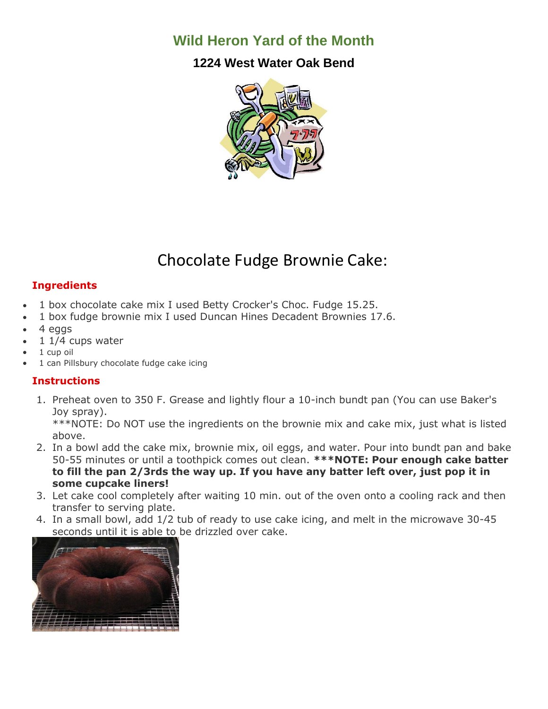#### **Wild Heron Yard of the Month**

#### **1224 West Water Oak Bend**



#### Chocolate Fudge Brownie Cake:

#### **Ingredients**

- 1 box chocolate cake mix I used Betty Crocker's Choc. Fudge 15.25.
- 1 box fudge brownie mix I used Duncan Hines Decadent Brownies 17.6.
- 4 eggs
- $11/4$  cups water
- 1 cup oil
- 1 can Pillsbury chocolate fudge cake icing

#### **Instructions**

1. Preheat oven to 350 F. Grease and lightly flour a 10-inch bundt pan (You can use Baker's Joy spray).

\*\*\*NOTE: Do NOT use the ingredients on the brownie mix and cake mix, just what is listed above.

- 2. In a bowl add the cake mix, brownie mix, oil eggs, and water. Pour into bundt pan and bake 50-55 minutes or until a toothpick comes out clean. **\*\*\*NOTE: Pour enough cake batter to fill the pan 2/3rds the way up. If you have any batter left over, just pop it in some cupcake liners!**
- 3. Let cake cool completely after waiting 10 min. out of the oven onto a cooling rack and then transfer to serving plate.
- 4. In a small bowl, add 1/2 tub of ready to use cake icing, and melt in the microwave 30-45 seconds until it is able to be drizzled over cake.